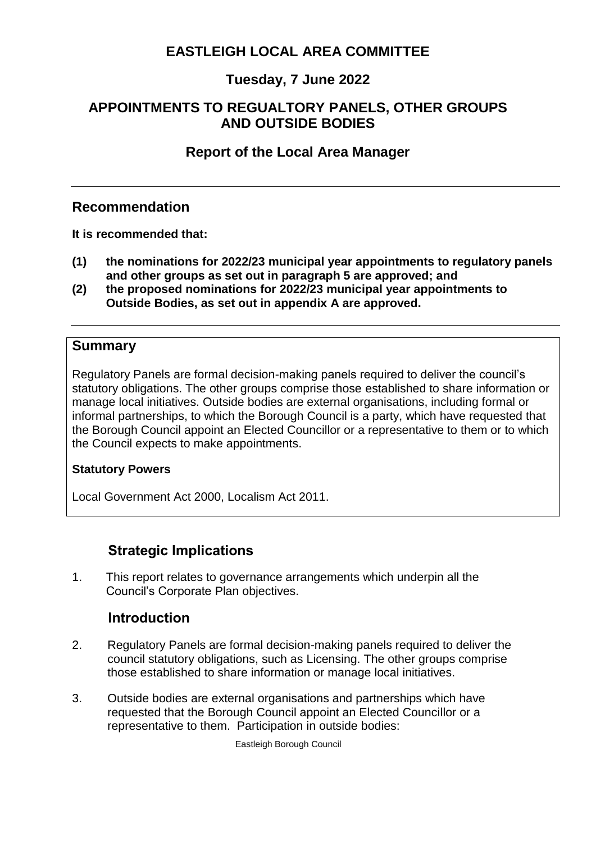# **EASTLEIGH LOCAL AREA COMMITTEE**

## **Tuesday, 7 June 2022**

### <span id="page-0-0"></span>**APPOINTMENTS TO REGUALTORY PANELS, OTHER GROUPS AND OUTSIDE BODIES**

## **[Report of the Local Area Manager](#page-0-0)**

### **Recommendation**

<span id="page-0-1"></span>**[It is recommended that:](#page-0-1)**

- **(1) the nominations for 2022/23 municipal year appointments to regulatory panels and other groups as set out in paragraph 5 are approved; and**
- **(2) the proposed nominations for 2022/23 municipal year appointments to Outside Bodies, as set out in appendix A are approved.**

#### <span id="page-0-2"></span>**[Summary](#page-0-2)**

Regulatory Panels are formal decision-making panels required to deliver the council's statutory obligations. The other groups comprise those established to share information or manage local initiatives. Outside bodies are external organisations, including formal or informal partnerships, to which the Borough Council is a party, which have requested that the Borough Council appoint an Elected Councillor or a representative to them or to which the Council expects to make appointments.

#### <span id="page-0-3"></span>**[Statutory Powers](#page-0-3)**

Local Government Act 2000, Localism Act 2011.

### **Strategic Implications**

1. This report relates to governance arrangements which underpin all the Council's Corporate Plan objectives.

### **Introduction**

- 2. Regulatory Panels are formal decision-making panels required to deliver the council statutory obligations, such as Licensing. The other groups comprise those established to share information or manage local initiatives.
- 3. Outside bodies are external organisations and partnerships which have requested that the Borough Council appoint an Elected Councillor or a representative to them. Participation in outside bodies:

Eastleigh Borough Council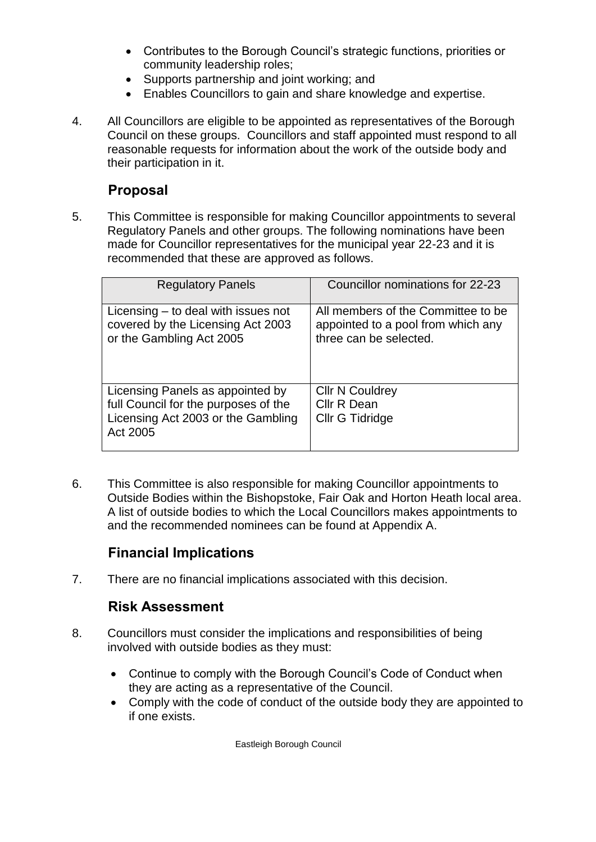- Contributes to the Borough Council's strategic functions, priorities or community leadership roles;
- Supports partnership and joint working; and
- Enables Councillors to gain and share knowledge and expertise.
- 4. All Councillors are eligible to be appointed as representatives of the Borough Council on these groups. Councillors and staff appointed must respond to all reasonable requests for information about the work of the outside body and their participation in it.

## **[Proposal](#page-1-0)**

<span id="page-1-0"></span>5. This Committee is responsible for making Councillor appointments to several Regulatory Panels and other groups. The following nominations have been made for Councillor representatives for the municipal year 22-23 and it is recommended that these are approved as follows.

| <b>Regulatory Panels</b>                                                                                                   | Councillor nominations for 22-23                                                                   |
|----------------------------------------------------------------------------------------------------------------------------|----------------------------------------------------------------------------------------------------|
| Licensing $-$ to deal with issues not<br>covered by the Licensing Act 2003<br>or the Gambling Act 2005                     | All members of the Committee to be<br>appointed to a pool from which any<br>three can be selected. |
| Licensing Panels as appointed by<br>full Council for the purposes of the<br>Licensing Act 2003 or the Gambling<br>Act 2005 | <b>Cllr N Couldrey</b><br>Cllr R Dean<br>Cllr G Tidridge                                           |

6. This Committee is also responsible for making Councillor appointments to Outside Bodies within the Bishopstoke, Fair Oak and Horton Heath local area. A list of outside bodies to which the Local Councillors makes appointments to and the recommended nominees can be found at Appendix A.

# **[Financial Implications](#page-1-1)**

<span id="page-1-2"></span><span id="page-1-1"></span>7. There are no financial implications associated with this decision.

# **[Risk Assessment](#page-1-2)**

- 8. Councillors must consider the implications and responsibilities of being involved with outside bodies as they must:
	- Continue to comply with the Borough Council's Code of Conduct when they are acting as a representative of the Council.
	- Comply with the code of conduct of the outside body they are appointed to if one exists.